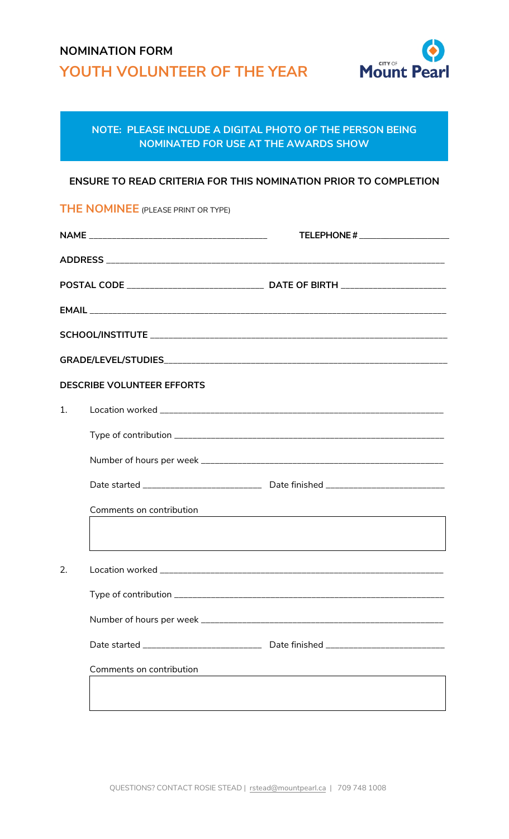## **NOMINATION FORM YOUTH VOLUNTEER OF THE YEAR**



## **NOTE: PLEASE INCLUDE A DIGITAL PHOTO OF THE PERSON BEING NOMINATED FOR USE AT THE AWARDS SHOW**

## **ENSURE TO READ CRITERIA FOR THIS NOMINATION PRIOR TO COMPLETION**

**THE NOMINEE** (PLEASE PRINT OR TYPE)

|                                   |                          | TELEPHONE #                                                                      |  |  |
|-----------------------------------|--------------------------|----------------------------------------------------------------------------------|--|--|
|                                   |                          |                                                                                  |  |  |
|                                   |                          |                                                                                  |  |  |
|                                   |                          |                                                                                  |  |  |
|                                   |                          |                                                                                  |  |  |
|                                   |                          |                                                                                  |  |  |
| <b>DESCRIBE VOLUNTEER EFFORTS</b> |                          |                                                                                  |  |  |
| 1.                                |                          |                                                                                  |  |  |
|                                   |                          |                                                                                  |  |  |
|                                   |                          |                                                                                  |  |  |
|                                   |                          | Date started _____________________________ Date finished _______________________ |  |  |
|                                   | Comments on contribution |                                                                                  |  |  |
|                                   |                          |                                                                                  |  |  |
| 2.                                |                          |                                                                                  |  |  |
|                                   | Type of contribution     |                                                                                  |  |  |
|                                   |                          |                                                                                  |  |  |
|                                   |                          | Date started ____________________________ Date finished ________________________ |  |  |
|                                   | Comments on contribution | <u> 1980 - Jan Samuel Barbara, margaret eta idazlea (h. 1980).</u>               |  |  |
|                                   |                          |                                                                                  |  |  |